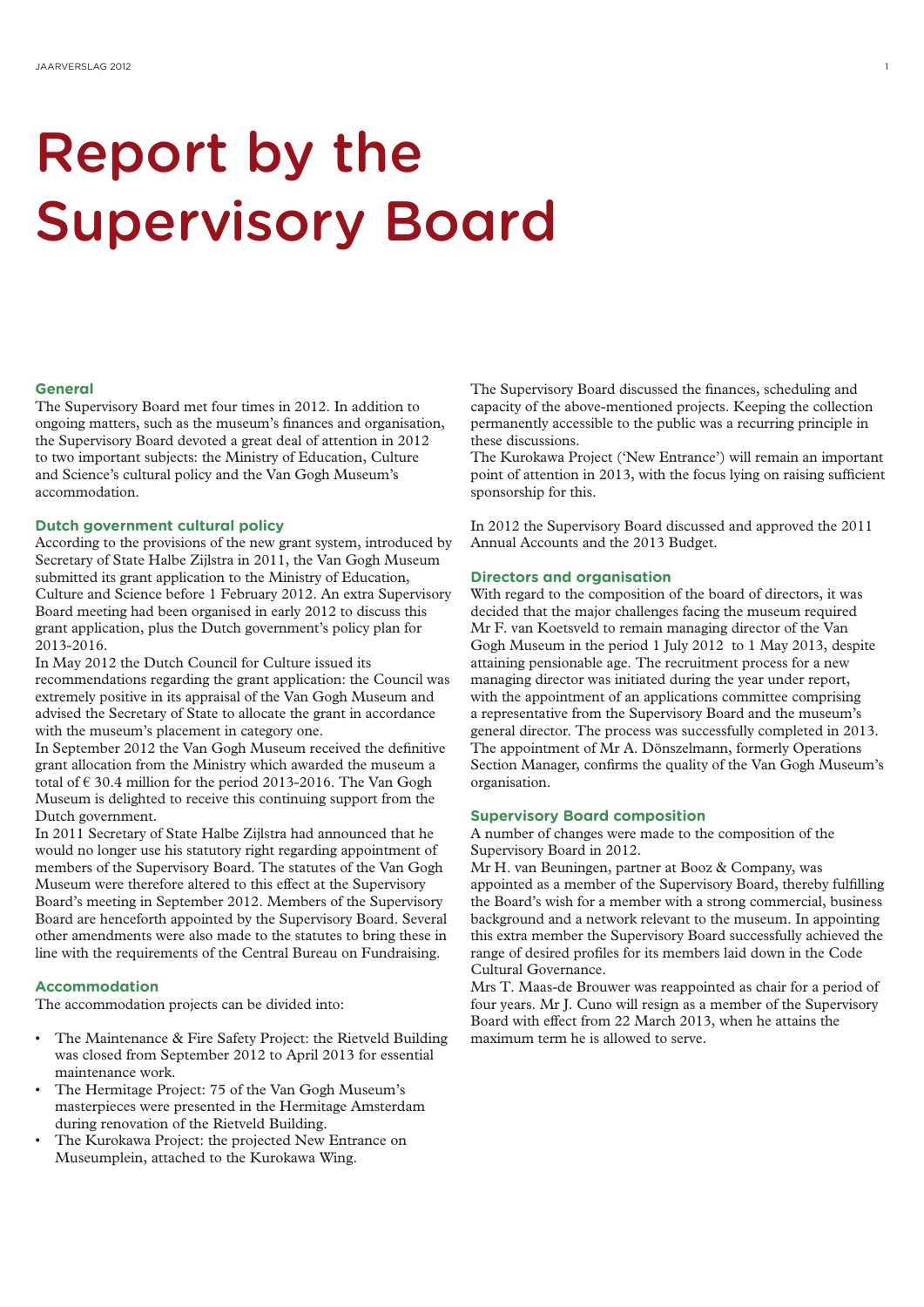## Report by the Supervisory Board

#### **General**

The Supervisory Board met four times in 2012. In addition to ongoing matters, such as the museum's finances and organisation, the Supervisory Board devoted a great deal of attention in 2012 to two important subjects: the Ministry of Education, Culture and Science's cultural policy and the Van Gogh Museum's accommodation.

#### **Dutch government cultural policy**

According to the provisions of the new grant system, introduced by Secretary of State Halbe Zijlstra in 2011, the Van Gogh Museum submitted its grant application to the Ministry of Education, Culture and Science before 1 February 2012. An extra Supervisory Board meeting had been organised in early 2012 to discuss this grant application, plus the Dutch government's policy plan for 2013-2016.

In May 2012 the Dutch Council for Culture issued its recommendations regarding the grant application: the Council was extremely positive in its appraisal of the Van Gogh Museum and advised the Secretary of State to allocate the grant in accordance with the museum's placement in category one.

In September 2012 the Van Gogh Museum received the definitive grant allocation from the Ministry which awarded the museum a total of  $\epsilon$  30.4 million for the period 2013-2016. The Van Gogh Museum is delighted to receive this continuing support from the Dutch government.

In 2011 Secretary of State Halbe Zijlstra had announced that he would no longer use his statutory right regarding appointment of members of the Supervisory Board. The statutes of the Van Gogh Museum were therefore altered to this effect at the Supervisory Board's meeting in September 2012. Members of the Supervisory Board are henceforth appointed by the Supervisory Board. Several other amendments were also made to the statutes to bring these in line with the requirements of the Central Bureau on Fundraising.

#### **Accommodation**

The accommodation projects can be divided into:

- The Maintenance & Fire Safety Project: the Rietveld Building was closed from September 2012 to April 2013 for essential maintenance work.
- The Hermitage Project: 75 of the Van Gogh Museum's masterpieces were presented in the Hermitage Amsterdam during renovation of the Rietveld Building.
- The Kurokawa Project: the projected New Entrance on Museumplein, attached to the Kurokawa Wing.

The Supervisory Board discussed the finances, scheduling and capacity of the above-mentioned projects. Keeping the collection permanently accessible to the public was a recurring principle in these discussions.

The Kurokawa Project ('New Entrance') will remain an important point of attention in 2013, with the focus lying on raising sufficient sponsorship for this.

In 2012 the Supervisory Board discussed and approved the 2011 Annual Accounts and the 2013 Budget.

#### **Directors and organisation**

With regard to the composition of the board of directors, it was decided that the major challenges facing the museum required Mr F. van Koetsveld to remain managing director of the Van Gogh Museum in the period 1 July 2012 to 1 May 2013, despite attaining pensionable age. The recruitment process for a new managing director was initiated during the year under report, with the appointment of an applications committee comprising a representative from the Supervisory Board and the museum's general director. The process was successfully completed in 2013. The appointment of Mr A. Dönszelmann, formerly Operations Section Manager, confirms the quality of the Van Gogh Museum's organisation.

#### **Supervisory Board composition**

A number of changes were made to the composition of the Supervisory Board in 2012.

Mr H. van Beuningen, partner at Booz & Company, was appointed as a member of the Supervisory Board, thereby fulfilling the Board's wish for a member with a strong commercial, business background and a network relevant to the museum. In appointing this extra member the Supervisory Board successfully achieved the range of desired profiles for its members laid down in the Code Cultural Governance.

Mrs T. Maas-de Brouwer was reappointed as chair for a period of four years. Mr J. Cuno will resign as a member of the Supervisory Board with effect from 22 March 2013, when he attains the maximum term he is allowed to serve.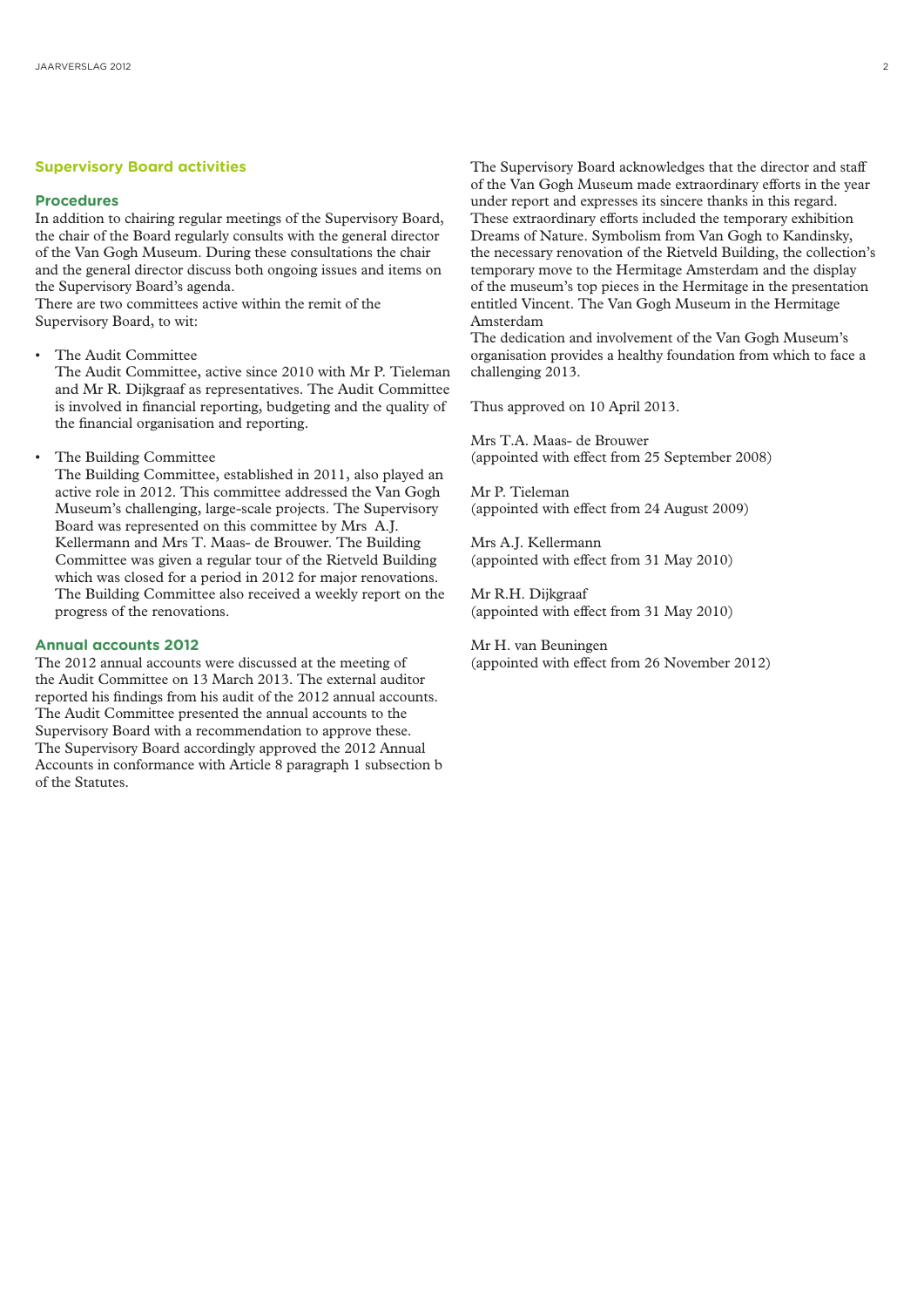#### **Supervisory Board activities**

#### **Procedures**

In addition to chairing regular meetings of the Supervisory Board, the chair of the Board regularly consults with the general director of the Van Gogh Museum. During these consultations the chair and the general director discuss both ongoing issues and items on the Supervisory Board's agenda.

There are two committees active within the remit of the Supervisory Board, to wit:

• The Audit Committee

The Audit Committee, active since 2010 with Mr P. Tieleman and Mr R. Dijkgraaf as representatives. The Audit Committee is involved in financial reporting, budgeting and the quality of the financial organisation and reporting.

The Building Committee

The Building Committee, established in 2011, also played an active role in 2012. This committee addressed the Van Gogh Museum's challenging, large-scale projects. The Supervisory Board was represented on this committee by Mrs A.J. Kellermann and Mrs T. Maas- de Brouwer. The Building Committee was given a regular tour of the Rietveld Building which was closed for a period in 2012 for major renovations. The Building Committee also received a weekly report on the progress of the renovations.

#### **Annual accounts 2012**

The 2012 annual accounts were discussed at the meeting of the Audit Committee on 13 March 2013. The external auditor reported his findings from his audit of the 2012 annual accounts. The Audit Committee presented the annual accounts to the Supervisory Board with a recommendation to approve these. The Supervisory Board accordingly approved the 2012 Annual Accounts in conformance with Article 8 paragraph 1 subsection b of the Statutes.

The Supervisory Board acknowledges that the director and staff of the Van Gogh Museum made extraordinary efforts in the year under report and expresses its sincere thanks in this regard. These extraordinary efforts included the temporary exhibition Dreams of Nature. Symbolism from Van Gogh to Kandinsky, the necessary renovation of the Rietveld Building, the collection's temporary move to the Hermitage Amsterdam and the display of the museum's top pieces in the Hermitage in the presentation entitled Vincent. The Van Gogh Museum in the Hermitage Amsterdam

The dedication and involvement of the Van Gogh Museum's organisation provides a healthy foundation from which to face a challenging 2013.

Thus approved on 10 April 2013.

Mrs T.A. Maas- de Brouwer (appointed with effect from 25 September 2008)

Mr P. Tieleman (appointed with effect from 24 August 2009)

Mrs A.J. Kellermann (appointed with effect from 31 May 2010)

Mr R.H. Dijkgraaf (appointed with effect from 31 May 2010)

Mr H. van Beuningen (appointed with effect from 26 November 2012)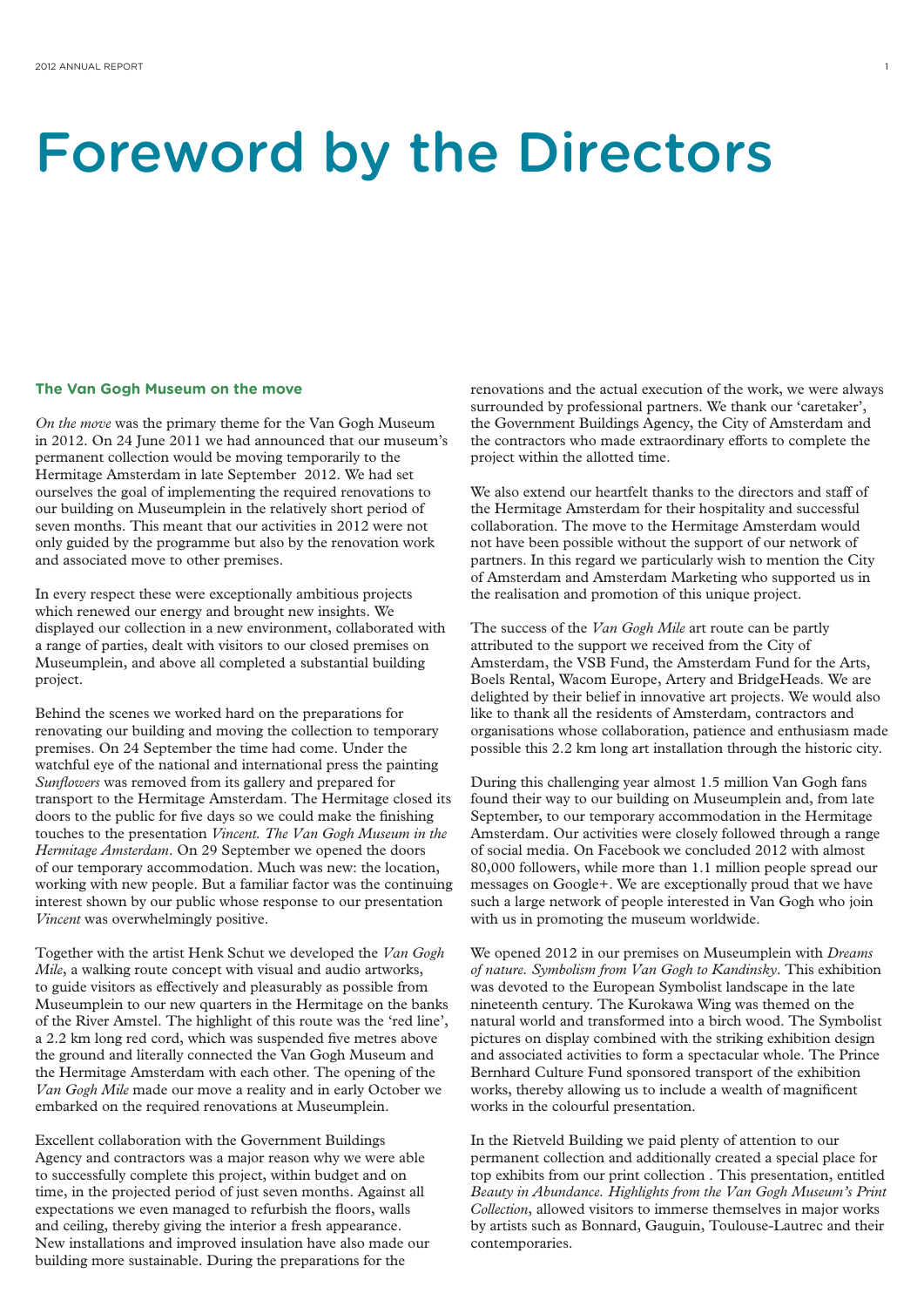### Foreword by the Directors

#### **The Van Gogh Museum on the move**

*On the move* was the primary theme for the Van Gogh Museum in 2012. On 24 June 2011 we had announced that our museum's permanent collection would be moving temporarily to the Hermitage Amsterdam in late September 2012. We had set ourselves the goal of implementing the required renovations to our building on Museumplein in the relatively short period of seven months. This meant that our activities in 2012 were not only guided by the programme but also by the renovation work and associated move to other premises.

In every respect these were exceptionally ambitious projects which renewed our energy and brought new insights. We displayed our collection in a new environment, collaborated with a range of parties, dealt with visitors to our closed premises on Museumplein, and above all completed a substantial building project.

Behind the scenes we worked hard on the preparations for renovating our building and moving the collection to temporary premises. On 24 September the time had come. Under the watchful eye of the national and international press the painting *Sunflowers* was removed from its gallery and prepared for transport to the Hermitage Amsterdam. The Hermitage closed its doors to the public for five days so we could make the finishing touches to the presentation *Vincent. The Van Gogh Museum in the Hermitage Amsterdam*. On 29 September we opened the doors of our temporary accommodation. Much was new: the location, working with new people. But a familiar factor was the continuing interest shown by our public whose response to our presentation *Vincent* was overwhelmingly positive.

Together with the artist Henk Schut we developed the *Van Gogh Mile*, a walking route concept with visual and audio artworks, to guide visitors as effectively and pleasurably as possible from Museumplein to our new quarters in the Hermitage on the banks of the River Amstel. The highlight of this route was the 'red line', a 2.2 km long red cord, which was suspended five metres above the ground and literally connected the Van Gogh Museum and the Hermitage Amsterdam with each other. The opening of the *Van Gogh Mile* made our move a reality and in early October we embarked on the required renovations at Museumplein.

Excellent collaboration with the Government Buildings Agency and contractors was a major reason why we were able to successfully complete this project, within budget and on time, in the projected period of just seven months. Against all expectations we even managed to refurbish the floors, walls and ceiling, thereby giving the interior a fresh appearance. New installations and improved insulation have also made our building more sustainable. During the preparations for the

renovations and the actual execution of the work, we were always surrounded by professional partners. We thank our 'caretaker', the Government Buildings Agency, the City of Amsterdam and the contractors who made extraordinary efforts to complete the project within the allotted time.

We also extend our heartfelt thanks to the directors and staff of the Hermitage Amsterdam for their hospitality and successful collaboration. The move to the Hermitage Amsterdam would not have been possible without the support of our network of partners. In this regard we particularly wish to mention the City of Amsterdam and Amsterdam Marketing who supported us in the realisation and promotion of this unique project.

The success of the *Van Gogh Mile* art route can be partly attributed to the support we received from the City of Amsterdam, the VSB Fund, the Amsterdam Fund for the Arts, Boels Rental, Wacom Europe, Artery and BridgeHeads. We are delighted by their belief in innovative art projects. We would also like to thank all the residents of Amsterdam, contractors and organisations whose collaboration, patience and enthusiasm made possible this 2.2 km long art installation through the historic city.

During this challenging year almost 1.5 million Van Gogh fans found their way to our building on Museumplein and, from late September, to our temporary accommodation in the Hermitage Amsterdam. Our activities were closely followed through a range of social media. On Facebook we concluded 2012 with almost 80,000 followers, while more than 1.1 million people spread our messages on Google+. We are exceptionally proud that we have such a large network of people interested in Van Gogh who join with us in promoting the museum worldwide.

We opened 2012 in our premises on Museumplein with *Dreams of nature. Symbolism from Van Gogh to Kandinsky*. This exhibition was devoted to the European Symbolist landscape in the late nineteenth century. The Kurokawa Wing was themed on the natural world and transformed into a birch wood. The Symbolist pictures on display combined with the striking exhibition design and associated activities to form a spectacular whole. The Prince Bernhard Culture Fund sponsored transport of the exhibition works, thereby allowing us to include a wealth of magnificent works in the colourful presentation.

In the Rietveld Building we paid plenty of attention to our permanent collection and additionally created a special place for top exhibits from our print collection . This presentation, entitled *Beauty in Abundance. Highlights from the Van Gogh Museum's Print Collection*, allowed visitors to immerse themselves in major works by artists such as Bonnard, Gauguin, Toulouse-Lautrec and their contemporaries.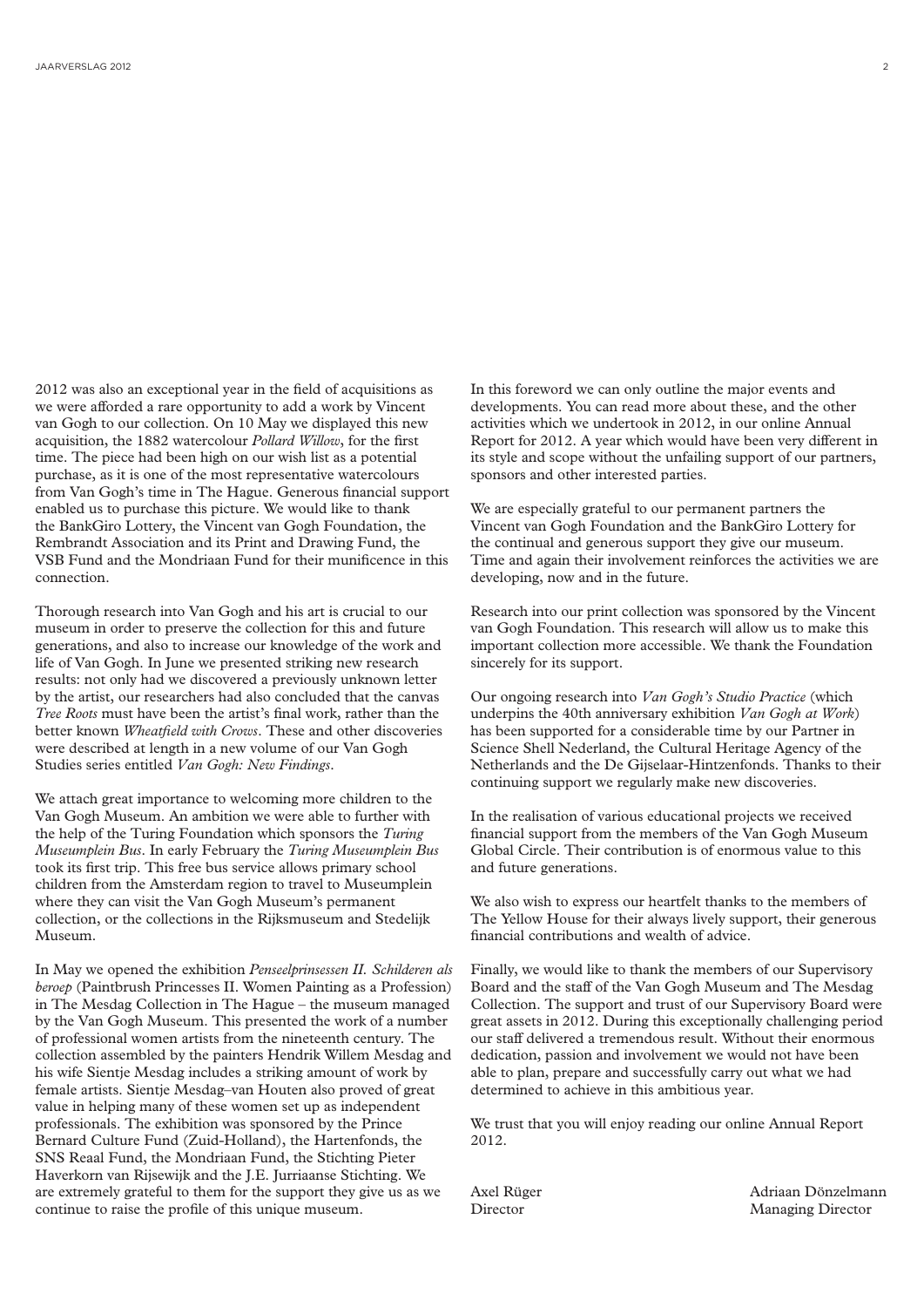2012 was also an exceptional year in the field of acquisitions as we were afforded a rare opportunity to add a work by Vincent van Gogh to our collection. On 10 May we displayed this new acquisition, the 1882 watercolour *Pollard Willow*, for the first time. The piece had been high on our wish list as a potential purchase, as it is one of the most representative watercolours from Van Gogh's time in The Hague. Generous financial support enabled us to purchase this picture. We would like to thank the BankGiro Lottery, the Vincent van Gogh Foundation, the Rembrandt Association and its Print and Drawing Fund, the VSB Fund and the Mondriaan Fund for their munificence in this connection.

Thorough research into Van Gogh and his art is crucial to our museum in order to preserve the collection for this and future generations, and also to increase our knowledge of the work and life of Van Gogh. In June we presented striking new research results: not only had we discovered a previously unknown letter by the artist, our researchers had also concluded that the canvas *Tree Roots* must have been the artist's final work, rather than the better known *Wheatfield with Crows*. These and other discoveries were described at length in a new volume of our Van Gogh Studies series entitled *Van Gogh: New Findings*.

We attach great importance to welcoming more children to the Van Gogh Museum. An ambition we were able to further with the help of the Turing Foundation which sponsors the *Turing Museumplein Bus*. In early February the *Turing Museumplein Bus*  took its first trip. This free bus service allows primary school children from the Amsterdam region to travel to Museumplein where they can visit the Van Gogh Museum's permanent collection, or the collections in the Rijksmuseum and Stedelijk Museum.

In May we opened the exhibition *Penseelprinsessen II. Schilderen als beroep* (Paintbrush Princesses II. Women Painting as a Profession) in The Mesdag Collection in The Hague – the museum managed by the Van Gogh Museum. This presented the work of a number of professional women artists from the nineteenth century. The collection assembled by the painters Hendrik Willem Mesdag and his wife Sientje Mesdag includes a striking amount of work by female artists. Sientje Mesdag–van Houten also proved of great value in helping many of these women set up as independent professionals. The exhibition was sponsored by the Prince Bernard Culture Fund (Zuid-Holland), the Hartenfonds, the SNS Reaal Fund, the Mondriaan Fund, the Stichting Pieter Haverkorn van Rijsewijk and the J.E. Jurriaanse Stichting. We are extremely grateful to them for the support they give us as we continue to raise the profile of this unique museum.

In this foreword we can only outline the major events and developments. You can read more about these, and the other activities which we undertook in 2012, in our online Annual Report for 2012. A year which would have been very different in its style and scope without the unfailing support of our partners, sponsors and other interested parties.

We are especially grateful to our permanent partners the Vincent van Gogh Foundation and the BankGiro Lottery for the continual and generous support they give our museum. Time and again their involvement reinforces the activities we are developing, now and in the future.

Research into our print collection was sponsored by the Vincent van Gogh Foundation. This research will allow us to make this important collection more accessible. We thank the Foundation sincerely for its support.

Our ongoing research into *Van Gogh's Studio Practice* (which underpins the 40th anniversary exhibition *Van Gogh at Work*) has been supported for a considerable time by our Partner in Science Shell Nederland, the Cultural Heritage Agency of the Netherlands and the De Gijselaar-Hintzenfonds. Thanks to their continuing support we regularly make new discoveries.

In the realisation of various educational projects we received financial support from the members of the Van Gogh Museum Global Circle. Their contribution is of enormous value to this and future generations.

We also wish to express our heartfelt thanks to the members of The Yellow House for their always lively support, their generous financial contributions and wealth of advice.

Finally, we would like to thank the members of our Supervisory Board and the staff of the Van Gogh Museum and The Mesdag Collection. The support and trust of our Supervisory Board were great assets in 2012. During this exceptionally challenging period our staff delivered a tremendous result. Without their enormous dedication, passion and involvement we would not have been able to plan, prepare and successfully carry out what we had determined to achieve in this ambitious year.

We trust that you will enjoy reading our online Annual Report 2012.

Axel Rüger **Adriaan Dönzelmann** Director Managing Director